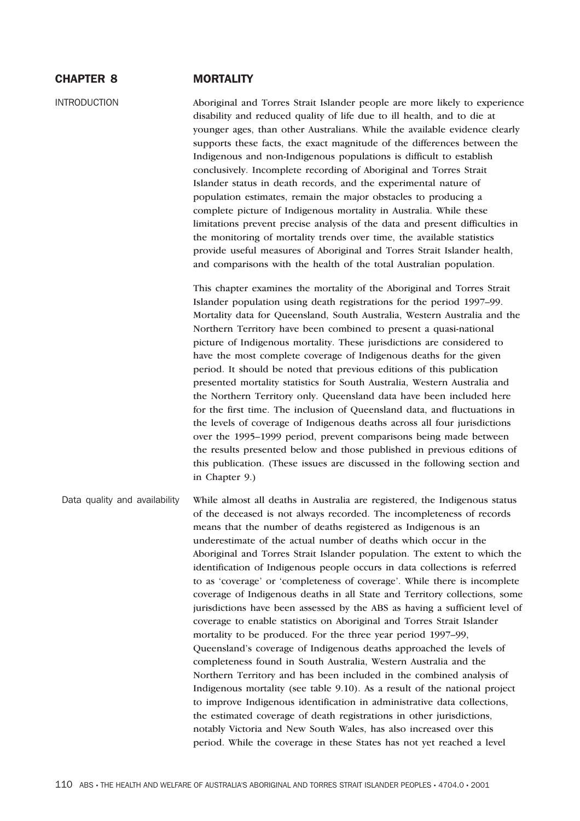# CHAPTER 8 MORTALITY

INTRODUCTION Aboriginal and Torres Strait Islander people are more likely to experience disability and reduced quality of life due to ill health, and to die at younger ages, than other Australians. While the available evidence clearly supports these facts, the exact magnitude of the differences between the Indigenous and non-Indigenous populations is difficult to establish conclusively. Incomplete recording of Aboriginal and Torres Strait Islander status in death records, and the experimental nature of population estimates, remain the major obstacles to producing a complete picture of Indigenous mortality in Australia. While these limitations prevent precise analysis of the data and present difficulties in the monitoring of mortality trends over time, the available statistics provide useful measures of Aboriginal and Torres Strait Islander health, and comparisons with the health of the total Australian population.

> This chapter examines the mortality of the Aboriginal and Torres Strait Islander population using death registrations for the period 1997–99. Mortality data for Queensland, South Australia, Western Australia and the Northern Territory have been combined to present a quasi-national picture of Indigenous mortality. These jurisdictions are considered to have the most complete coverage of Indigenous deaths for the given period. It should be noted that previous editions of this publication presented mortality statistics for South Australia, Western Australia and the Northern Territory only. Queensland data have been included here for the first time. The inclusion of Queensland data, and fluctuations in the levels of coverage of Indigenous deaths across all four jurisdictions over the 1995–1999 period, prevent comparisons being made between the results presented below and those published in previous editions of this publication. (These issues are discussed in the following section and in Chapter 9.)

Data quality and availability While almost all deaths in Australia are registered, the Indigenous status of the deceased is not always recorded. The incompleteness of records means that the number of deaths registered as Indigenous is an underestimate of the actual number of deaths which occur in the Aboriginal and Torres Strait Islander population. The extent to which the identification of Indigenous people occurs in data collections is referred to as 'coverage' or 'completeness of coverage'. While there is incomplete coverage of Indigenous deaths in all State and Territory collections, some jurisdictions have been assessed by the ABS as having a sufficient level of coverage to enable statistics on Aboriginal and Torres Strait Islander mortality to be produced. For the three year period 1997–99, Queensland's coverage of Indigenous deaths approached the levels of completeness found in South Australia, Western Australia and the Northern Territory and has been included in the combined analysis of Indigenous mortality (see table 9.10). As a result of the national project to improve Indigenous identification in administrative data collections, the estimated coverage of death registrations in other jurisdictions, notably Victoria and New South Wales, has also increased over this period. While the coverage in these States has not yet reached a level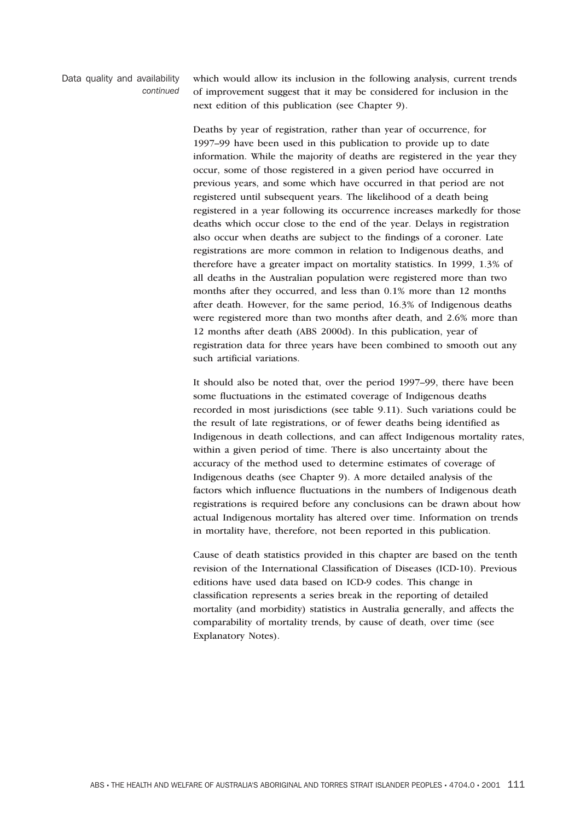Data quality and availability *continued* which would allow its inclusion in the following analysis, current trends of improvement suggest that it may be considered for inclusion in the next edition of this publication (see Chapter 9).

Deaths by year of registration, rather than year of occurrence, for 1997–99 have been used in this publication to provide up to date information. While the majority of deaths are registered in the year they occur, some of those registered in a given period have occurred in previous years, and some which have occurred in that period are not registered until subsequent years. The likelihood of a death being registered in a year following its occurrence increases markedly for those deaths which occur close to the end of the year. Delays in registration also occur when deaths are subject to the findings of a coroner. Late registrations are more common in relation to Indigenous deaths, and therefore have a greater impact on mortality statistics. In 1999, 1.3% of all deaths in the Australian population were registered more than two months after they occurred, and less than 0.1% more than 12 months after death. However, for the same period, 16.3% of Indigenous deaths were registered more than two months after death, and 2.6% more than 12 months after death (ABS 2000d). In this publication, year of registration data for three years have been combined to smooth out any such artificial variations.

It should also be noted that, over the period 1997–99, there have been some fluctuations in the estimated coverage of Indigenous deaths recorded in most jurisdictions (see table 9.11). Such variations could be the result of late registrations, or of fewer deaths being identified as Indigenous in death collections, and can affect Indigenous mortality rates, within a given period of time. There is also uncertainty about the accuracy of the method used to determine estimates of coverage of Indigenous deaths (see Chapter 9). A more detailed analysis of the factors which influence fluctuations in the numbers of Indigenous death registrations is required before any conclusions can be drawn about how actual Indigenous mortality has altered over time. Information on trends in mortality have, therefore, not been reported in this publication.

Cause of death statistics provided in this chapter are based on the tenth revision of the International Classification of Diseases (ICD-10). Previous editions have used data based on ICD-9 codes. This change in classification represents a series break in the reporting of detailed mortality (and morbidity) statistics in Australia generally, and affects the comparability of mortality trends, by cause of death, over time (see Explanatory Notes).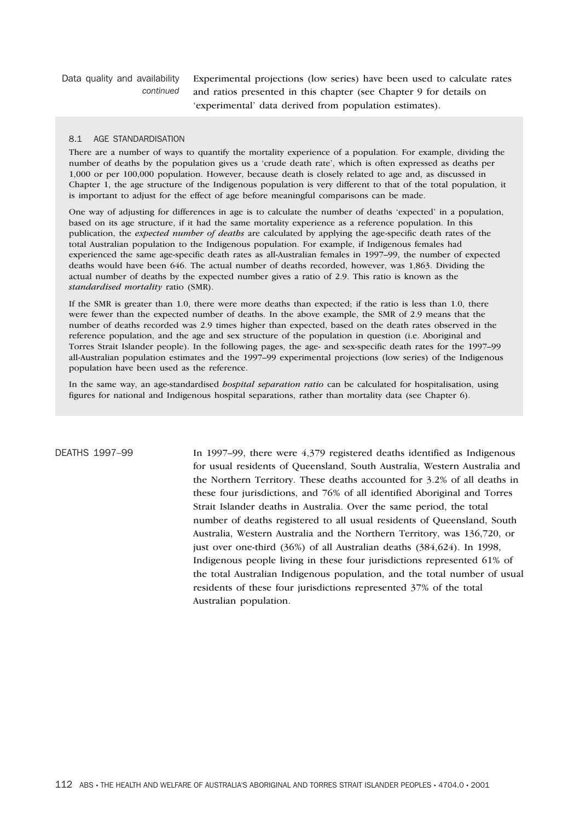Data quality and availability *continued* Experimental projections (low series) have been used to calculate rates and ratios presented in this chapter (see Chapter 9 for details on 'experimental' data derived from population estimates).

## 8.1 AGE STANDARDISATION

There are a number of ways to quantify the mortality experience of a population. For example, dividing the number of deaths by the population gives us a 'crude death rate', which is often expressed as deaths per 1,000 or per 100,000 population. However, because death is closely related to age and, as discussed in Chapter 1, the age structure of the Indigenous population is very different to that of the total population, it is important to adjust for the effect of age before meaningful comparisons can be made.

One way of adjusting for differences in age is to calculate the number of deaths 'expected' in a population, based on its age structure, if it had the same mortality experience as a reference population. In this publication, the *expected number of deaths* are calculated by applying the age-specific death rates of the total Australian population to the Indigenous population. For example, if Indigenous females had experienced the same age-specific death rates as all-Australian females in 1997–99, the number of expected deaths would have been 646. The actual number of deaths recorded, however, was 1,863. Dividing the actual number of deaths by the expected number gives a ratio of 2.9. This ratio is known as the *standardised mortality* ratio (SMR).

If the SMR is greater than 1.0, there were more deaths than expected; if the ratio is less than 1.0, there were fewer than the expected number of deaths. In the above example, the SMR of 2.9 means that the number of deaths recorded was 2.9 times higher than expected, based on the death rates observed in the reference population, and the age and sex structure of the population in question (i.e. Aboriginal and Torres Strait Islander people). In the following pages, the age- and sex-specific death rates for the 1997–99 all-Australian population estimates and the 1997–99 experimental projections (low series) of the Indigenous population have been used as the reference.

In the same way, an age-standardised *hospital separation ratio* can be calculated for hospitalisation, using figures for national and Indigenous hospital separations, rather than mortality data (see Chapter 6).

DEATHS 1997-99 In 1997-99, there were 4,379 registered deaths identified as Indigenous for usual residents of Queensland, South Australia, Western Australia and the Northern Territory. These deaths accounted for 3.2% of all deaths in these four jurisdictions, and 76% of all identified Aboriginal and Torres Strait Islander deaths in Australia. Over the same period, the total number of deaths registered to all usual residents of Queensland, South Australia, Western Australia and the Northern Territory, was 136,720, or just over one-third (36%) of all Australian deaths (384,624). In 1998, Indigenous people living in these four jurisdictions represented 61% of the total Australian Indigenous population, and the total number of usual residents of these four jurisdictions represented 37% of the total Australian population.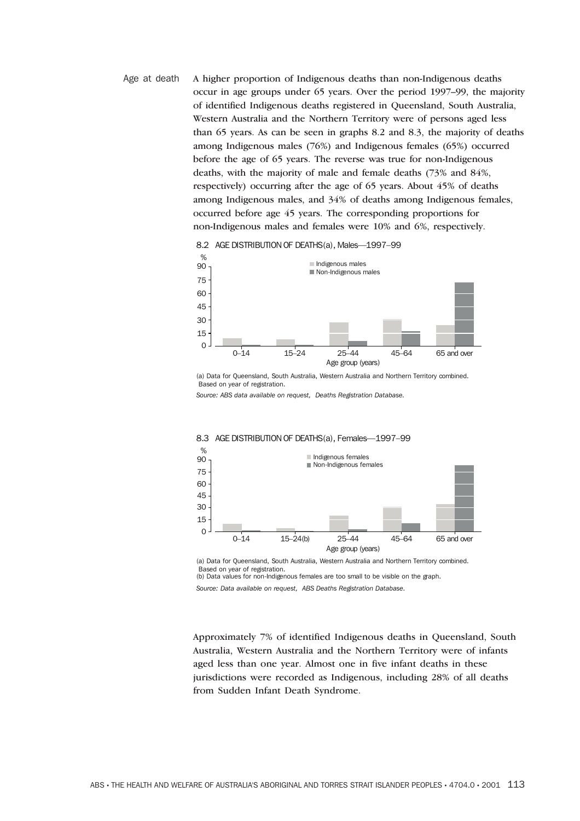Age at death A higher proportion of Indigenous deaths than non-Indigenous deaths occur in age groups under 65 years. Over the period 1997–99, the majority of identified Indigenous deaths registered in Queensland, South Australia, Western Australia and the Northern Territory were of persons aged less than 65 years. As can be seen in graphs 8.2 and 8.3, the majority of deaths among Indigenous males (76%) and Indigenous females (65%) occurred before the age of 65 years. The reverse was true for non-Indigenous deaths, with the majority of male and female deaths (73% and 84%, respectively) occurring after the age of 65 years. About 45% of deaths among Indigenous males, and 34% of deaths among Indigenous females, occurred before age 45 years. The corresponding proportions for non-Indigenous males and females were 10% and 6%, respectively.



8.2 AGE DISTRIBUTION OF DEATHS(a), Males—1997–99

(a) Data for Queensland, South Australia, Western Australia and Northern Territory combined. Based on year of registration.

*Source: ABS data available on request, Deaths Registration Database.*



### 8.3 AGE DISTRIBUTION OF DEATHS(a), Females—1997–99

(a) Data for Queensland, South Australia, Western Australia and Northern Territory combined. Based on year of registration. (b) Data values for non-Indigenous females are too small to be visible on the graph.

*Source: Data available on request, ABS Deaths Registration Database.*

Approximately 7% of identified Indigenous deaths in Queensland, South Australia, Western Australia and the Northern Territory were of infants aged less than one year. Almost one in five infant deaths in these jurisdictions were recorded as Indigenous, including 28% of all deaths from Sudden Infant Death Syndrome.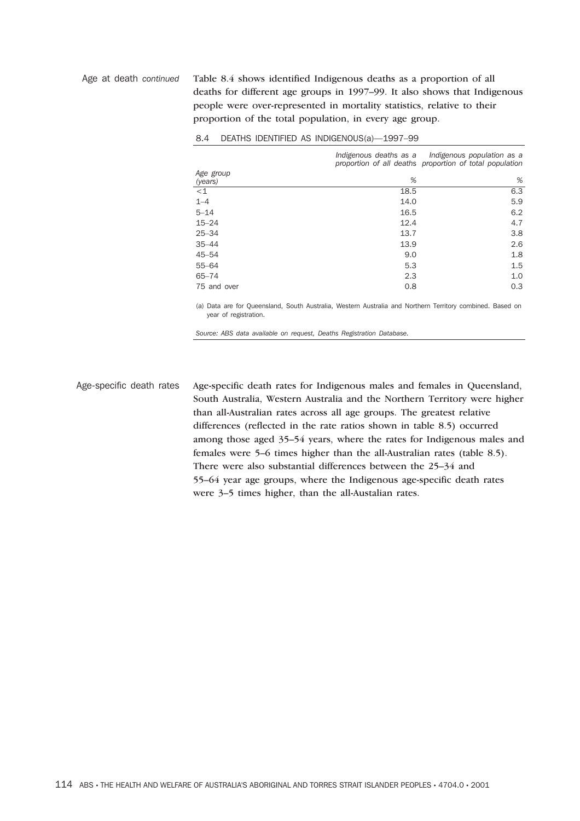Age at death *continued* Table 8.4 shows identified Indigenous deaths as a proportion of all deaths for different age groups in 1997–99. It also shows that Indigenous people were over-represented in mortality statistics, relative to their proportion of the total population, in every age group.

|                      |      | Indigenous deaths as a lndigenous population as a<br>proportion of all deaths proportion of total population |  |  |
|----------------------|------|--------------------------------------------------------------------------------------------------------------|--|--|
| Age group<br>(years) | %    | %                                                                                                            |  |  |
| $<$ 1                | 18.5 | 6.3                                                                                                          |  |  |
| $1 - 4$              | 14.0 | 5.9                                                                                                          |  |  |
| $5 - 14$             | 16.5 | 6.2                                                                                                          |  |  |
| $15 - 24$            | 12.4 | 4.7                                                                                                          |  |  |
| $25 - 34$            | 13.7 | 3.8                                                                                                          |  |  |
| $35 - 44$            | 13.9 | 2.6                                                                                                          |  |  |
| $45 - 54$            | 9.0  | 1.8                                                                                                          |  |  |
| $55 - 64$            | 5.3  | 1.5                                                                                                          |  |  |
| $65 - 74$            | 2.3  | 1.0                                                                                                          |  |  |
| 75 and over          | 0.8  | 0.3                                                                                                          |  |  |

### 8.4 DEATHS IDENTIFIED AS INDIGENOUS(a)—1997–99

(a) Data are for Queensland, South Australia, Western Australia and Northern Territory combined. Based on year of registration.

*Source: ABS data available on request, Deaths Registration Database.*

Age-specific death rates Age-specific death rates for Indigenous males and females in Queensland, South Australia, Western Australia and the Northern Territory were higher than all-Australian rates across all age groups. The greatest relative differences (reflected in the rate ratios shown in table 8.5) occurred among those aged 35–54 years, where the rates for Indigenous males and females were 5–6 times higher than the all-Australian rates (table 8.5). There were also substantial differences between the 25–34 and 55–64 year age groups, where the Indigenous age-specific death rates were 3–5 times higher, than the all-Austalian rates.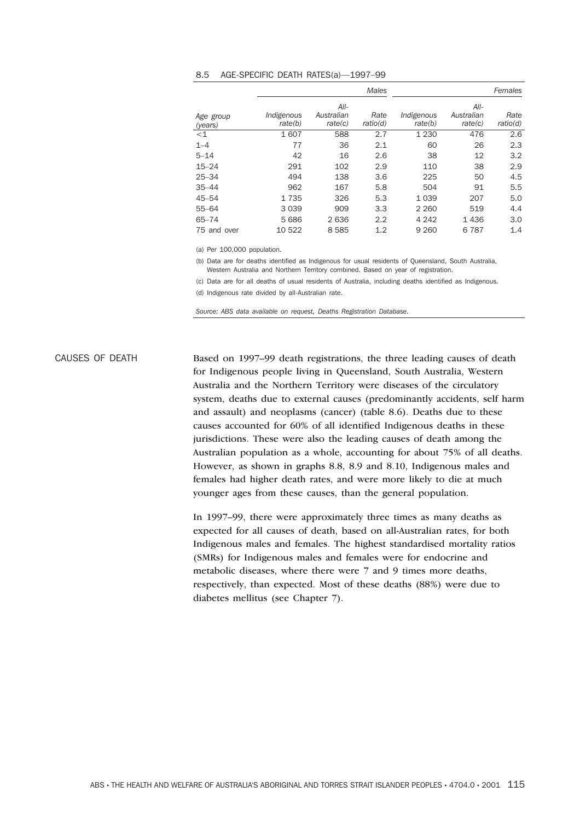|             |            |                      | <b>Males</b> | Females    |                    |          |  |
|-------------|------------|----------------------|--------------|------------|--------------------|----------|--|
| Age group   | Indigenous | $All-$<br>Australian | Rate         | Indigenous | All-<br>Australian | Rate     |  |
| (years)     | rate(b)    | rate(c)              | ratio(d)     | rate(b)    | rate(c)            | ratio(d) |  |
| $<$ 1       | 1607       | 588                  | 2.7          | 1 2 3 0    | 476                | 2.6      |  |
| $1 - 4$     | 77         | 36                   | 2.1          | 60         | 26                 | 2.3      |  |
| $5 - 14$    | 42         | 16                   | 2.6          | 38         | 12                 | 3.2      |  |
| $15 - 24$   | 291        | 102                  | 2.9          | 110        | 38                 | 2.9      |  |
| $25 - 34$   | 494        | 138                  | 3.6          | 225        | 50                 | 4.5      |  |
| $35 - 44$   | 962        | 167                  | 5.8          | 504        | 91                 | 5.5      |  |
| $45 - 54$   | 1735       | 326                  | 5.3          | 1 0 3 9    | 207                | 5.0      |  |
| $55 - 64$   | 3 0 3 9    | 909                  | 3.3          | 2 2 6 0    | 519                | 4.4      |  |
| $65 - 74$   | 5686       | 2636                 | 2.2          | 4 2 4 2    | 1436               | 3.0      |  |
| 75 and over | 10 522     | 8585                 | 1.2          | 9 2 6 0    | 787<br>6           | 1.4      |  |

## 8.5 AGE-SPECIFIC DEATH RATES(a)—1997–99

(a) Per 100,000 population.

(b) Data are for deaths identified as Indigenous for usual residents of Queensland, South Australia, Western Australia and Northern Territory combined. Based on year of registration.

(c) Data are for all deaths of usual residents of Australia, including deaths identified as Indigenous. (d) Indigenous rate divided by all-Australian rate.

*Source: ABS data available on request, Deaths Registration Database.*

CAUSES OF DEATH Based on 1997–99 death registrations, the three leading causes of death for Indigenous people living in Queensland, South Australia, Western Australia and the Northern Territory were diseases of the circulatory system, deaths due to external causes (predominantly accidents, self harm and assault) and neoplasms (cancer) (table 8.6). Deaths due to these causes accounted for 60% of all identified Indigenous deaths in these jurisdictions. These were also the leading causes of death among the Australian population as a whole, accounting for about 75% of all deaths. However, as shown in graphs 8.8, 8.9 and 8.10, Indigenous males and females had higher death rates, and were more likely to die at much younger ages from these causes, than the general population.

> In 1997–99, there were approximately three times as many deaths as expected for all causes of death, based on all-Australian rates, for both Indigenous males and females. The highest standardised mortality ratios (SMRs) for Indigenous males and females were for endocrine and metabolic diseases, where there were 7 and 9 times more deaths, respectively, than expected. Most of these deaths (88%) were due to diabetes mellitus (see Chapter 7).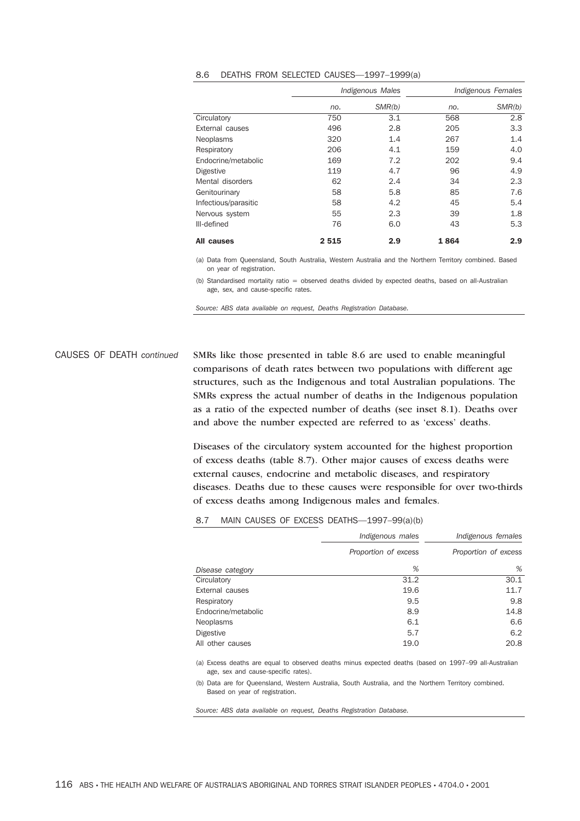|                      | Indigenous Males |        | Indigenous Females |        |  |
|----------------------|------------------|--------|--------------------|--------|--|
|                      | no.              | SMR(b) | no.                | SMR(b) |  |
| Circulatory          | 750              | 3.1    | 568                | 2.8    |  |
| External causes      | 496              | 2.8    | 205                | 3.3    |  |
| <b>Neoplasms</b>     | 320              | 1.4    | 267                | 1.4    |  |
| Respiratory          | 206              | 4.1    | 159                | 4.0    |  |
| Endocrine/metabolic  | 169              | 7.2    | 202                | 9.4    |  |
| <b>Digestive</b>     | 119              | 4.7    | 96                 | 4.9    |  |
| Mental disorders     | 62               | 2.4    | 34                 | 2.3    |  |
| Genitourinary        | 58               | 5.8    | 85                 | 7.6    |  |
| Infectious/parasitic | 58               | 4.2    | 45                 | 5.4    |  |
| Nervous system       | 55               | 2.3    | 39                 | 1.8    |  |
| III-defined          | 76               | 6.0    | 43                 | 5.3    |  |
| All causes           | 2515             | 2.9    | 1864               | 2.9    |  |

### 8.6 DEATHS FROM SELECTED CAUSES—1997–1999(a)

(a) Data from Queensland, South Australia, Western Australia and the Northern Territory combined. Based on year of registration.

(b) Standardised mortality ratio = observed deaths divided by expected deaths, based on all-Australian age, sex, and cause-specific rates.

*Source: ABS data available on request, Deaths Registration Database.*

CAUSES OF DEATH *continued* SMRs like those presented in table 8.6 are used to enable meaningful comparisons of death rates between two populations with different age structures, such as the Indigenous and total Australian populations. The SMRs express the actual number of deaths in the Indigenous population as a ratio of the expected number of deaths (see inset 8.1). Deaths over and above the number expected are referred to as 'excess' deaths.

> Diseases of the circulatory system accounted for the highest proportion of excess deaths (table 8.7). Other major causes of excess deaths were external causes, endocrine and metabolic diseases, and respiratory diseases. Deaths due to these causes were responsible for over two-thirds of excess deaths among Indigenous males and females.

|                     | Indigenous males     | Indigenous females   |
|---------------------|----------------------|----------------------|
|                     | Proportion of excess | Proportion of excess |
| Disease category    | %                    | %                    |
| Circulatory         | 31.2                 | 30.1                 |
| External causes     | 19.6                 | 11.7                 |
| Respiratory         | 9.5                  | 9.8                  |
| Endocrine/metabolic | 8.9                  | 14.8                 |
| <b>Neoplasms</b>    | 6.1                  | 6.6                  |
| <b>Digestive</b>    | 5.7                  | 6.2                  |
| All other causes    | 19.0                 | 20.8                 |

8.7 MAIN CAUSES OF EXCESS DEATHS—1997–99(a)(b)

(a) Excess deaths are equal to observed deaths minus expected deaths (based on 1997–99 all-Australian age, sex and cause-specific rates).

(b) Data are for Queensland, Western Australia, South Australia, and the Northern Territory combined. Based on year of registration.

*Source: ABS data available on request, Deaths Registration Database.*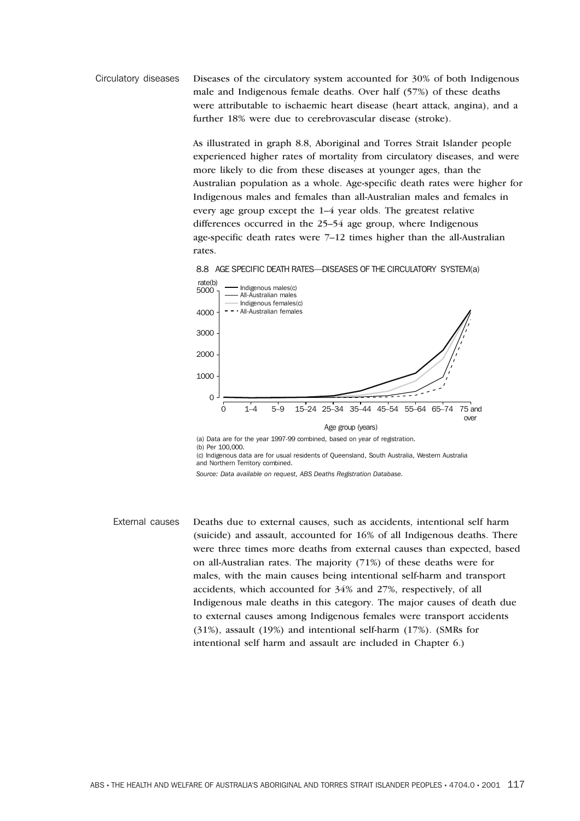Circulatory diseases Diseases of the circulatory system accounted for 30% of both Indigenous male and Indigenous female deaths. Over half (57%) of these deaths were attributable to ischaemic heart disease (heart attack, angina), and a further 18% were due to cerebrovascular disease (stroke).

> As illustrated in graph 8.8, Aboriginal and Torres Strait Islander people experienced higher rates of mortality from circulatory diseases, and were more likely to die from these diseases at younger ages, than the Australian population as a whole. Age-specific death rates were higher for Indigenous males and females than all-Australian males and females in every age group except the 1–4 year olds. The greatest relative differences occurred in the 25–54 age group, where Indigenous age-specific death rates were 7–12 times higher than the all-Australian rates.





(c) Indigenous data are for usual residents of Queensland, South Australia, Western Australia and Northern Territory combined.

External causes Deaths due to external causes, such as accidents, intentional self harm (suicide) and assault, accounted for 16% of all Indigenous deaths. There were three times more deaths from external causes than expected, based on all-Australian rates. The majority (71%) of these deaths were for males, with the main causes being intentional self-harm and transport accidents, which accounted for 34% and 27%, respectively, of all Indigenous male deaths in this category. The major causes of death due to external causes among Indigenous females were transport accidents (31%), assault (19%) and intentional self-harm (17%). (SMRs for intentional self harm and assault are included in Chapter 6.)

*Source: Data available on request, ABS Deaths Registration Database.*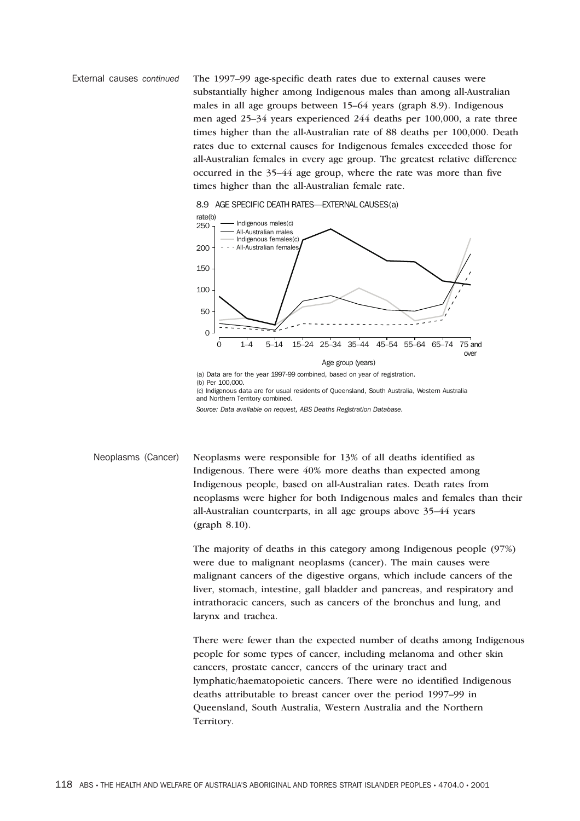External causes *continued* The 1997–99 age-specific death rates due to external causes were substantially higher among Indigenous males than among all-Australian males in all age groups between 15–64 years (graph 8.9). Indigenous men aged 25–34 years experienced 244 deaths per 100,000, a rate three times higher than the all-Australian rate of 88 deaths per 100,000. Death rates due to external causes for Indigenous females exceeded those for all-Australian females in every age group. The greatest relative difference occurred in the 35–44 age group, where the rate was more than five times higher than the all-Australian female rate.





*Source: Data available on request, ABS Deaths Registration Database.*

Neoplasms (Cancer) Neoplasms were responsible for 13% of all deaths identified as Indigenous. There were 40% more deaths than expected among Indigenous people, based on all-Australian rates. Death rates from neoplasms were higher for both Indigenous males and females than their all-Australian counterparts, in all age groups above 35–44 years (graph 8.10).

> The majority of deaths in this category among Indigenous people (97%) were due to malignant neoplasms (cancer). The main causes were malignant cancers of the digestive organs, which include cancers of the liver, stomach, intestine, gall bladder and pancreas, and respiratory and intrathoracic cancers, such as cancers of the bronchus and lung, and larynx and trachea.

There were fewer than the expected number of deaths among Indigenous people for some types of cancer, including melanoma and other skin cancers, prostate cancer, cancers of the urinary tract and lymphatic/haematopoietic cancers. There were no identified Indigenous deaths attributable to breast cancer over the period 1997–99 in Queensland, South Australia, Western Australia and the Northern Territory.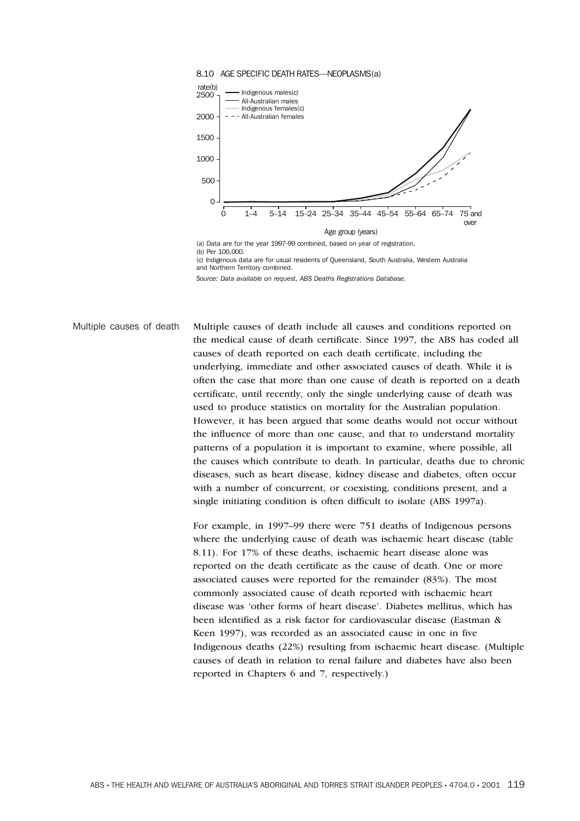

(c) Indigenous data are for usual residents of Queensland, South Australia, Western Australia and Northern Territory combined.

*Source: Data available on request, ABS Deaths Registrations Database.*

Multiple causes of death Multiple causes of death include all causes and conditions reported on the medical cause of death certificate. Since 1997, the ABS has coded all causes of death reported on each death certificate, including the underlying, immediate and other associated causes of death. While it is often the case that more than one cause of death is reported on a death certificate, until recently, only the single underlying cause of death was used to produce statistics on mortality for the Australian population. However, it has been argued that some deaths would not occur without the influence of more than one cause, and that to understand mortality patterns of a population it is important to examine, where possible, all the causes which contribute to death. In particular, deaths due to chronic diseases, such as heart disease, kidney disease and diabetes, often occur with a number of concurrent, or coexisting, conditions present, and a single initiating condition is often difficult to isolate (ABS 1997a).

> For example, in 1997–99 there were 751 deaths of Indigenous persons where the underlying cause of death was ischaemic heart disease (table 8.11). For 17% of these deaths, ischaemic heart disease alone was reported on the death certificate as the cause of death. One or more associated causes were reported for the remainder (83%). The most commonly associated cause of death reported with ischaemic heart disease was 'other forms of heart disease'. Diabetes mellitus, which has been identified as a risk factor for cardiovascular disease (Eastman & Keen 1997), was recorded as an associated cause in one in five Indigenous deaths (22%) resulting from ischaemic heart disease. (Multiple causes of death in relation to renal failure and diabetes have also been reported in Chapters 6 and 7, respectively.)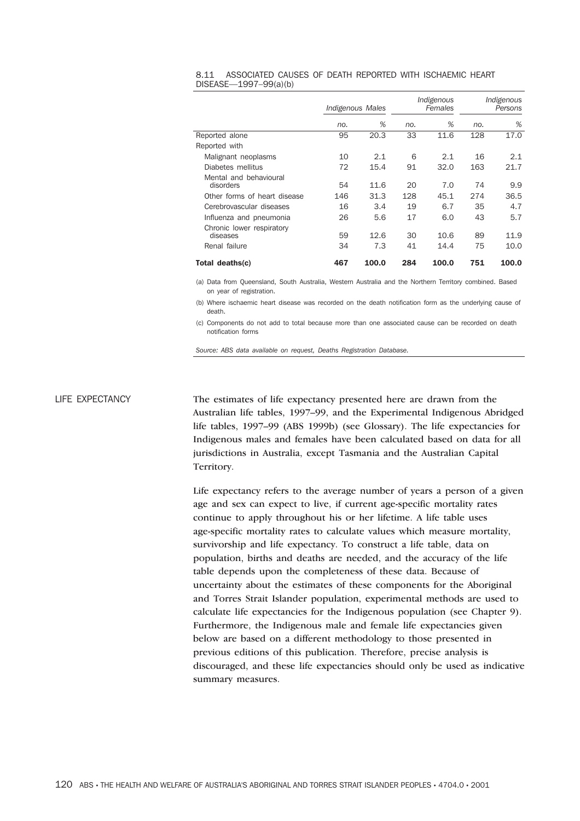| 8.11 ASSOCIATED CAUSES OF DEATH REPORTED WITH ISCHAEMIC HEART |  |  |  |  |
|---------------------------------------------------------------|--|--|--|--|
| $DISEASE-1997-99(a)(b)$                                       |  |  |  |  |

|                                                        | Indigenous Males |             | Indigenous<br>Females |              | Indigenous<br>Persons |              |
|--------------------------------------------------------|------------------|-------------|-----------------------|--------------|-----------------------|--------------|
|                                                        | no.              | %           | no.                   | %            | no.                   | %            |
| Reported alone                                         | 95               | 20.3        | 33                    | 11.6         | 128                   | 17.0         |
| Reported with                                          |                  |             |                       |              |                       |              |
| Malignant neoplasms                                    | 10               | 2.1         | 6                     | 2.1          | 16                    | 2.1          |
| Diabetes mellitus                                      | 72               | 15.4        | 91                    | 32.0         | 163                   | 21.7         |
| Mental and behavioural<br>disorders                    | 54               | 11.6        | 20                    | 7.0          | 74                    | 9.9          |
| Other forms of heart disease                           | 146              | 31.3        | 128                   | 45.1         | 274                   | 36.5         |
| Cerebrovascular diseases                               | 16               | 3.4         | 19                    | 6.7          | 35                    | 4.7          |
| Influenza and pneumonia                                | 26               | 5.6         | 17                    | 6.0          | 43                    | 5.7          |
| Chronic lower respiratory<br>diseases<br>Renal failure | 59<br>34         | 12.6<br>7.3 | 30<br>41              | 10.6<br>14.4 | 89<br>75              | 11.9<br>10.0 |
| Total deaths(c)                                        | 467              | 100.0       | 284                   | 100.0        | 751                   | 100.0        |

(a) Data from Queensland, South Australia, Western Australia and the Northern Territory combined. Based on year of registration.

(b) Where ischaemic heart disease was recorded on the death notification form as the underlying cause of death.

(c) Components do not add to total because more than one associated cause can be recorded on death notification forms

*Source: ABS data available on request, Deaths Registration Database.*

LIFE EXPECTANCY The estimates of life expectancy presented here are drawn from the Australian life tables, 1997–99, and the Experimental Indigenous Abridged life tables, 1997–99 (ABS 1999b) (see Glossary). The life expectancies for Indigenous males and females have been calculated based on data for all jurisdictions in Australia, except Tasmania and the Australian Capital Territory.

> Life expectancy refers to the average number of years a person of a given age and sex can expect to live, if current age-specific mortality rates continue to apply throughout his or her lifetime. A life table uses age-specific mortality rates to calculate values which measure mortality, survivorship and life expectancy. To construct a life table, data on population, births and deaths are needed, and the accuracy of the life table depends upon the completeness of these data. Because of uncertainty about the estimates of these components for the Aboriginal and Torres Strait Islander population, experimental methods are used to calculate life expectancies for the Indigenous population (see Chapter 9). Furthermore, the Indigenous male and female life expectancies given below are based on a different methodology to those presented in previous editions of this publication. Therefore, precise analysis is discouraged, and these life expectancies should only be used as indicative summary measures.